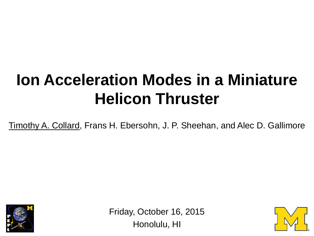## **Ion Acceleration Modes in a Miniature Helicon Thruster**

Timothy A. Collard, Frans H. Ebersohn, J. P. Sheehan, and Alec D. Gallimore



Friday, October 16, 2015 Honolulu, HI

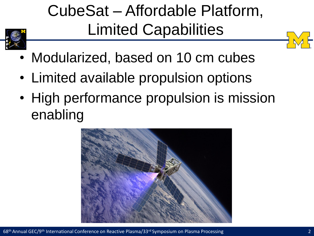## CubeSat – Affordable Platform, Limited Capabilities





- Modularized, based on 10 cm cubes
- Limited available propulsion options
- High performance propulsion is mission enabling

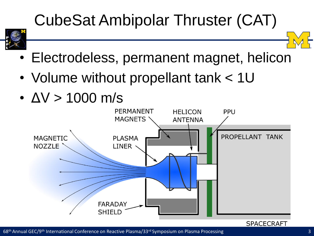## CubeSat Ambipolar Thruster (CAT)



- Electrodeless, permanent magnet, helicon
- Volume without propellant tank < 1U
- $\cdot$   $\Delta V$  > 1000 m/s



68th Annual GEC/9th International Conference on Reactive Plasma/33rd Symposium on Plasma Processing 3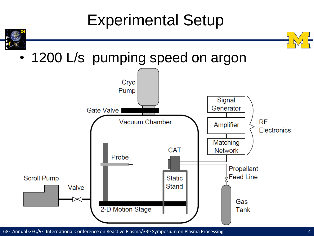#### Experimental Setup



• 1200 L/s pumping speed on argon



68th Annual GEC/9th International Conference on Reactive Plasma/33rd Symposium on Plasma Processing 4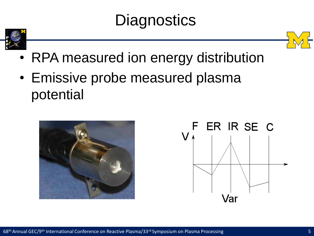### **Diagnostics**





- RPA measured ion energy distribution
- Emissive probe measured plasma potential



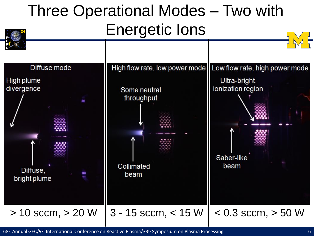#### Three Operational Modes – Two with Energetic Ions



68th Annual GEC/9th International Conference on Reactive Plasma/33rd Symposium on Plasma Processing 6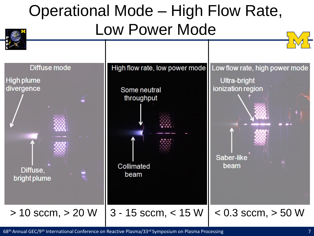#### Operational Mode – High Flow Rate, Low Power Mode



68<sup>th</sup> Annual GEC/9<sup>th</sup> International Conference on Reactive Plasma/33<sup>rd</sup> Symposium on Plasma Processing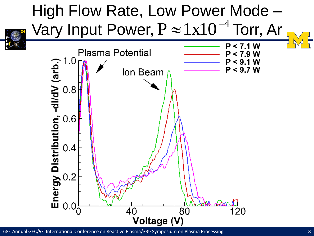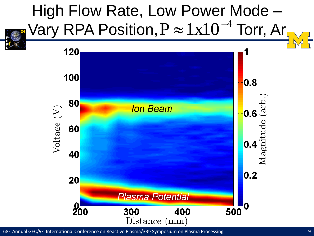

68<sup>th</sup> Annual GEC/9<sup>th</sup> International Conference on Reactive Plasma/33<sup>rd</sup> Symposium on Plasma Processing 9 (99) 9 (99) 9 (99) 9 (99) 9 (99) 9 (99) 9 (99) 9 (99) 9 (99) 9 (99) 9 (99) 9 (99) 9 (99) 9 (99) 9 (99) 9 (99) 9 (9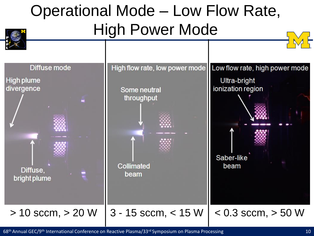#### Operational Mode – Low Flow Rate, High Power Mode



68<sup>th</sup> Annual GEC/9<sup>th</sup> International Conference on Reactive Plasma/33<sup>rd</sup> Symposium on Plasma Processing 10 and 10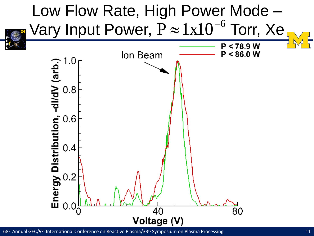

68<sup>th</sup> Annual GEC/9<sup>th</sup> International Conference on Reactive Plasma/33<sup>rd</sup> Symposium on Plasma Processing 11 and 11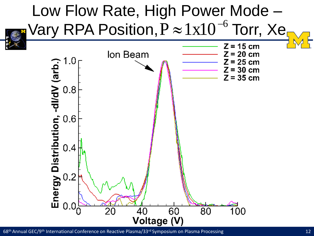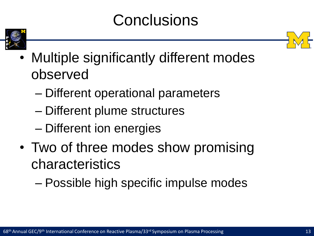#### **Conclusions**





- Multiple significantly different modes observed
	- Different operational parameters
	- Different plume structures
	- Different ion energies
- Two of three modes show promising characteristics
	- Possible high specific impulse modes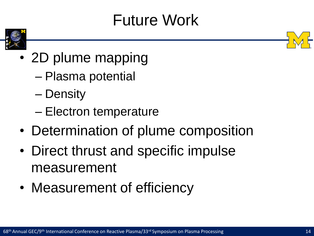### Future Work



- 2D plume mapping
	- Plasma potential
	- Density
	- Electron temperature
- Determination of plume composition
- Direct thrust and specific impulse measurement
- Measurement of efficiency